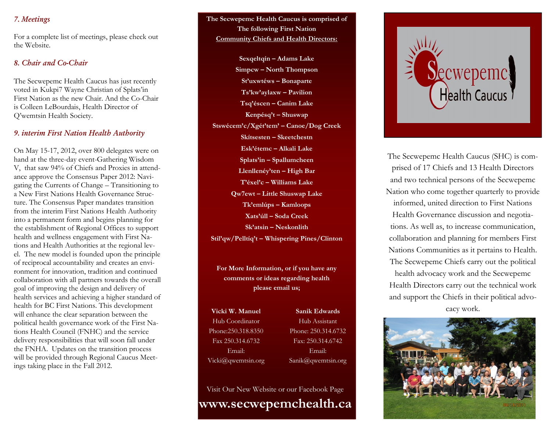## 7. Meetings

For a complete list of meetings, please check out the Website.

## 8. Chair and Co-Chair

The Secwepemc Health Caucus has just recently voted in Kukpi7 Wayne Christian of Splats'in First Nation as the new Chair. And the Co-Chair is Colleen LeBourdais, Health Director of Q'wemtsin Health Society.

### 9. interim First Nation Health Authority

On May 15-17, 2012, over 800 delegates were on hand at the three-day event-Gathering Wisdom V, that saw 94% of Chiefs and Proxies in attendance approve the Consensus Paper 2012: Navigating the Currents of Change – Transitioning to a New First Nations Health Governance Structure. The Consensus Paper mandates transition from the interim First Nations Health Authority into a permanent form and begins planning for the establishment of Regional Offices to support health and wellness engagement with First Nations and Health Authorities at the regional level. The new model is founded upon the principle of reciprocal accountability and creates an environment for innovation, tradition and continued collaboration with all partners towards the overall goal of improving the design and delivery of health services and achieving a higher standard of health for BC First Nations. This development will enhance the clear separation between the political health governance work of the First Nations Health Council (FNHC) and the service delivery responsibilities that will soon fall under the FNHA. Updates on the transition process will be provided through Regional Caucus Meetings taking place in the Fall 2012.

The Secwepemc Health Caucus is comprised of The following First Nation **Community Chiefs and Health Directors:** 

Sexqeltqín - Adams Lake Simpcw - North Thompson St'uxwtéws - Bonaparte Ts'kw'aylaxw - Pavilion Tsq'éscen - Canim Lake Kenpésq't - Shuswap Stswécem'c/Xgét'tem' - Canoe/Dog Creek Skítsesten – Skeetchestn Esk'étemc - Alkali Lake Splats'in - Spallumcheen Llenllenéy'ten – High Bar T'éxel'c - Williams Lake Qw7ewt - Little Shuswap Lake Tk'emlúps - Kamloops Xats'úll – Soda Creek  $Sk'atsin - Neskonlith$ Stil'qw/Pelltíq't - Whispering Pines/Clinton

For More Information, or if you have any comments or ideas regarding health please email us;

Vicki W. Manuel Hub Coordinator Phone:250.318.8350 Fax 250.314.6732 Email: Vicki@qwemtsin.org

**Sanik Edwards** Hub Assistant Phone: 250.314.6732 Fax: 250.314.6742 Email: Sanik@qwemtsin.org

Visit Our New Website or our Facebook Page www.secwepemchealth.ca



The Secwepemc Health Caucus (SHC) is comprised of 17 Chiefs and 13 Health Directors and two technical persons of the Secwepemc Nation who come together quarterly to provide informed, united direction to First Nations Health Governance discussion and negotiations. As well as, to increase communication, collaboration and planning for members First Nations Communities as it pertains to Health. The Secwepemc Chiefs carry out the political health advocacy work and the Secwepemc Health Directors carry out the technical work and support the Chiefs in their political advocacy work.